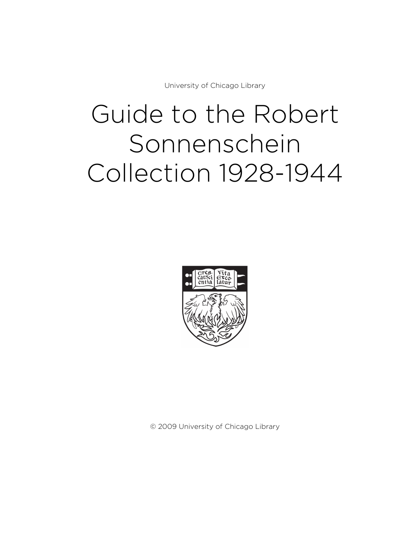University of Chicago Library

# Guide to the Robert Sonnenschein Collection 1928-1944



© 2009 University of Chicago Library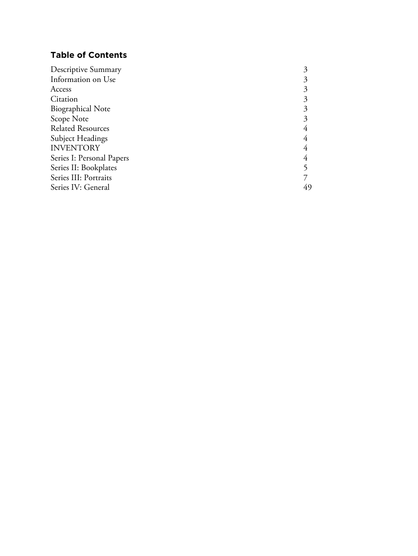# **Table of Contents**

| Descriptive Summary       |    |
|---------------------------|----|
| Information on Use        |    |
| Access                    |    |
| Citation                  |    |
| <b>Biographical Note</b>  |    |
| Scope Note                |    |
| <b>Related Resources</b>  |    |
| <b>Subject Headings</b>   |    |
| <b>INVENTORY</b>          |    |
| Series I: Personal Papers |    |
| Series II: Bookplates     |    |
| Series III: Portraits     |    |
| Series IV: General        | 49 |
|                           |    |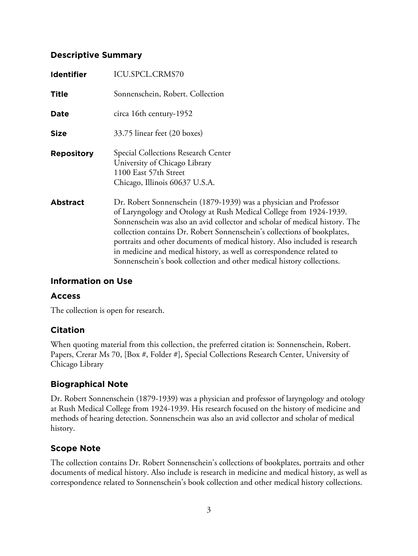## **Descriptive Summary**

| <b>Identifier</b> | ICU.SPCL.CRMS70                                                                                                                                                                                                                                                                                                                                                                                                                                                                                                                     |
|-------------------|-------------------------------------------------------------------------------------------------------------------------------------------------------------------------------------------------------------------------------------------------------------------------------------------------------------------------------------------------------------------------------------------------------------------------------------------------------------------------------------------------------------------------------------|
| <b>Title</b>      | Sonnenschein, Robert. Collection                                                                                                                                                                                                                                                                                                                                                                                                                                                                                                    |
| Date              | circa 16th century-1952                                                                                                                                                                                                                                                                                                                                                                                                                                                                                                             |
| <b>Size</b>       | 33.75 linear feet (20 boxes)                                                                                                                                                                                                                                                                                                                                                                                                                                                                                                        |
| <b>Repository</b> | Special Collections Research Center<br>University of Chicago Library<br>1100 East 57th Street<br>Chicago, Illinois 60637 U.S.A.                                                                                                                                                                                                                                                                                                                                                                                                     |
| <b>Abstract</b>   | Dr. Robert Sonnenschein (1879-1939) was a physician and Professor<br>of Laryngology and Otology at Rush Medical College from 1924-1939.<br>Sonnenschein was also an avid collector and scholar of medical history. The<br>collection contains Dr. Robert Sonnenschein's collections of bookplates,<br>portraits and other documents of medical history. Also included is research<br>in medicine and medical history, as well as correspondence related to<br>Sonnenschein's book collection and other medical history collections. |

# **Information on Use**

## **Access**

The collection is open for research.

## **Citation**

When quoting material from this collection, the preferred citation is: Sonnenschein, Robert. Papers, Crerar Ms 70, [Box #, Folder #], Special Collections Research Center, University of Chicago Library

## **Biographical Note**

Dr. Robert Sonnenschein (1879-1939) was a physician and professor of laryngology and otology at Rush Medical College from 1924-1939. His research focused on the history of medicine and methods of hearing detection. Sonnenschein was also an avid collector and scholar of medical history.

## **Scope Note**

The collection contains Dr. Robert Sonnenschein's collections of bookplates, portraits and other documents of medical history. Also include is research in medicine and medical history, as well as correspondence related to Sonnenschein's book collection and other medical history collections.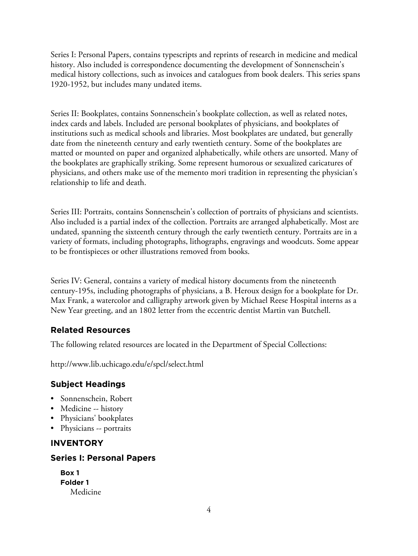Series I: Personal Papers, contains typescripts and reprints of research in medicine and medical history. Also included is correspondence documenting the development of Sonnenschein's medical history collections, such as invoices and catalogues from book dealers. This series spans 1920-1952, but includes many undated items.

Series II: Bookplates, contains Sonnenschein's bookplate collection, as well as related notes, index cards and labels. Included are personal bookplates of physicians, and bookplates of institutions such as medical schools and libraries. Most bookplates are undated, but generally date from the nineteenth century and early twentieth century. Some of the bookplates are matted or mounted on paper and organized alphabetically, while others are unsorted. Many of the bookplates are graphically striking. Some represent humorous or sexualized caricatures of physicians, and others make use of the memento mori tradition in representing the physician's relationship to life and death.

Series III: Portraits, contains Sonnenschein's collection of portraits of physicians and scientists. Also included is a partial index of the collection. Portraits are arranged alphabetically. Most are undated, spanning the sixteenth century through the early twentieth century. Portraits are in a variety of formats, including photographs, lithographs, engravings and woodcuts. Some appear to be frontispieces or other illustrations removed from books.

Series IV: General, contains a variety of medical history documents from the nineteenth century-195s, including photographs of physicians, a B. Heroux design for a bookplate for Dr. Max Frank, a watercolor and calligraphy artwork given by Michael Reese Hospital interns as a New Year greeting, and an 1802 letter from the eccentric dentist Martin van Butchell.

# **Related Resources**

The following related resources are located in the Department of Special Collections:

http://www.lib.uchicago.edu/e/spcl/select.html

# **Subject Headings**

- Sonnenschein, Robert
- Medicine -- history
- Physicians' bookplates
- Physicians -- portraits

# **INVENTORY**

## **Series I: Personal Papers**

| Box 1    |
|----------|
| Folder 1 |
| Medicine |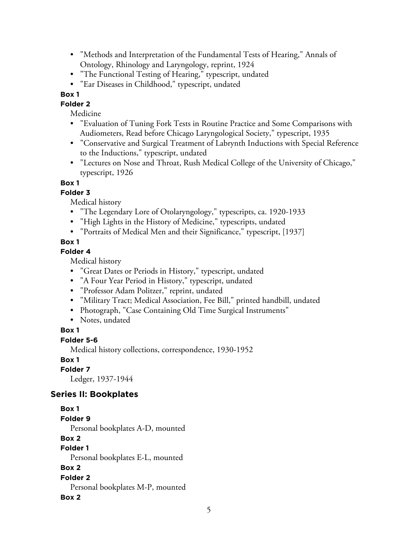- "Methods and Interpretation of the Fundamental Tests of Hearing," Annals of Ontology, Rhinology and Laryngology, reprint, 1924
- "The Functional Testing of Hearing," typescript, undated
- "Ear Diseases in Childhood," typescript, undated

**Folder 2**

Medicine

- "Evaluation of Tuning Fork Tests in Routine Practice and Some Comparisons with Audiometers, Read before Chicago Laryngological Society," typescript, 1935
- "Conservative and Surgical Treatment of Labrynth Inductions with Special Reference to the Inductions," typescript, undated
- "Lectures on Nose and Throat, Rush Medical College of the University of Chicago," typescript, 1926

**Box 1**

## **Folder 3**

Medical history

- "The Legendary Lore of Otolaryngology," typescripts, ca. 1920-1933
- "High Lights in the History of Medicine," typescripts, undated
- "Portraits of Medical Men and their Significance," typescript, [1937]

# **Box 1**

# **Folder 4**

Medical history

- "Great Dates or Periods in History," typescript, undated
- "A Four Year Period in History," typescript, undated
- "Professor Adam Politzer," reprint, undated
- "Military Tract; Medical Association, Fee Bill," printed handbill, undated
- Photograph, "Case Containing Old Time Surgical Instruments"
- Notes, undated

# **Box 1**

## **Folder 5-6**

Medical history collections, correspondence, 1930-1952

## **Box 1**

**Folder 7**

Ledger, 1937-1944

# **Series II: Bookplates**

## **Box 1**

**Folder 9**

Personal bookplates A-D, mounted

# **Box 2**

**Folder 1**

Personal bookplates E-L, mounted

## **Box 2**

**Folder 2**

Personal bookplates M-P, mounted

## **Box 2**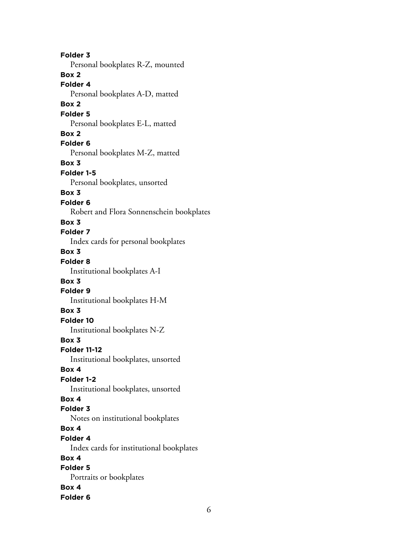**Folder 3** Personal bookplates R-Z, mounted **Box 2 Folder 4** Personal bookplates A-D, matted **Box 2 Folder 5** Personal bookplates E-L, matted **Box 2 Folder 6** Personal bookplates M-Z, matted **Box 3 Folder 1-5** Personal bookplates, unsorted **Box 3 Folder 6** Robert and Flora Sonnenschein bookplates **Box 3 Folder 7** Index cards for personal bookplates **Box 3 Folder 8** Institutional bookplates A-I **Box 3 Folder 9** Institutional bookplates H-M **Box 3 Folder 10** Institutional bookplates N-Z **Box 3 Folder 11-12** Institutional bookplates, unsorted **Box 4 Folder 1-2** Institutional bookplates, unsorted **Box 4 Folder 3** Notes on institutional bookplates **Box 4 Folder 4** Index cards for institutional bookplates **Box 4 Folder 5** Portraits or bookplates **Box 4 Folder 6**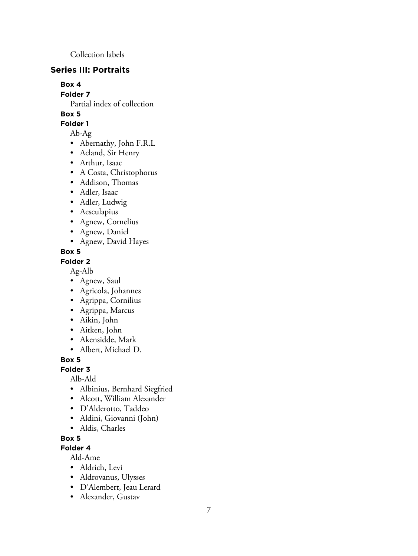Collection labels

## **Series III: Portraits**

#### **Box 4**

**Folder 7**

Partial index of collection

# **Box 5**

**Folder 1**

Ab-Ag

- Abernathy, John F.R.L
- Acland, Sir Henry
- Arthur, Isaac
- A Costa, Christophorus
- Addison, Thomas
- Adler, Isaac
- Adler, Ludwig
- Aesculapius
- Agnew, Cornelius
- Agnew, Daniel
- Agnew, David Hayes

#### **Box 5**

**Folder 2**

Ag-Alb

- Agnew, Saul
- Agricola, Johannes
- Agrippa, Cornilius
- Agrippa, Marcus
- Aikin, John
- Aitken, John
- Akensidde, Mark
- Albert, Michael D.

**Box 5**

#### **Folder 3**

Alb-Ald

- Albinius, Bernhard Siegfried
- Alcott, William Alexander
- D'Alderotto, Taddeo
- Aldini, Giovanni (John)
- Aldis, Charles

**Box 5**

**Folder 4**

Ald-Ame

- Aldrich, Levi
- Aldrovanus, Ulysses
- D'Alembert, Jeau Lerard
- Alexander, Gustav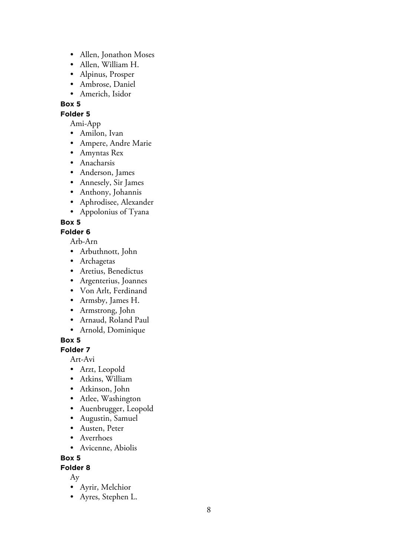- Allen, Jonathon Moses
- Allen, William H.
- Alpinus, Prosper
- Ambrose, Daniel
- Americh, Isidor

**Folder 5**

Ami-App

- Amilon, Ivan
- Ampere, Andre Marie
- Amyntas Rex
- Anacharsis
- Anderson, James
- Annesely, Sir James
- Anthony, Johannis
- Aphrodisee, Alexander
- Appolonius of Tyana

**Box 5**

**Folder 6**

Arb-Arn

- Arbuthnott, John
- Archagetas
- Aretius, Benedictus
- Argenterius, Joannes
- Von Arlt, Ferdinand
- Armsby, James H.
- Armstrong, John
- Arnaud, Roland Paul
- Arnold, Dominique

**Box 5**

**Folder 7**

Art-Avi

- Arzt, Leopold
- Atkins, William
- Atkinson, John
- Atlee, Washington
- Auenbrugger, Leopold
- Augustin, Samuel
- Austen, Peter
- Averrhoes
- Avicenne, Abiolis

#### **Box 5**

**Folder 8**

Ay

- Ayrir, Melchior
- Ayres, Stephen L.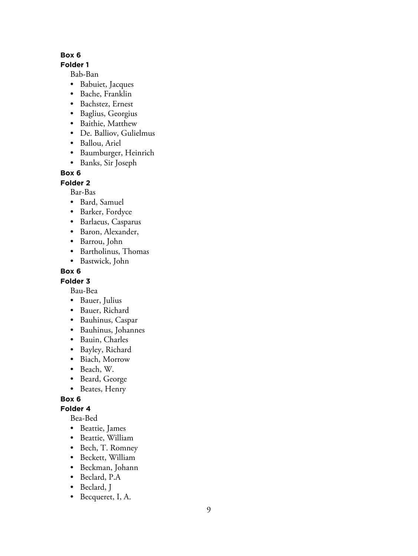#### **Folder 1**

Bab-Ban

- Babuiet, Jacques
- Bache, Franklin
- Bachstez, Ernest
- Baglius, Georgius
- Baithie, Matthew
- De. Balliov, Gulielmus
- Ballou, Ariel
- Baumburger, Heinrich
- Banks, Sir Joseph

#### **Box 6**

**Folder 2**

Bar-Bas

- Bard, Samuel
- Barker, Fordyce
- Barlaeus, Casparus
- Baron, Alexander,
- Barrou, John
- Bartholinus, Thomas
- Bastwick, John

#### **Box 6**

#### **Folder 3**

Bau-Bea

- Bauer, Julius
- Bauer, Richard
- Bauhinus, Caspar
- Bauhinus, Johannes
- Bauin, Charles
- Bayley, Richard
- Biach, Morrow
- Beach, W.
- Beard, George
- Beates, Henry

#### **Box 6**

#### **Folder 4**

Bea-Bed

- Beattie, James
- Beattie, William
- Bech, T. Romney
- Beckett, William
- Beckman, Johann
- Beclard, P.A
- Beclard, J
- Becqueret, I, A.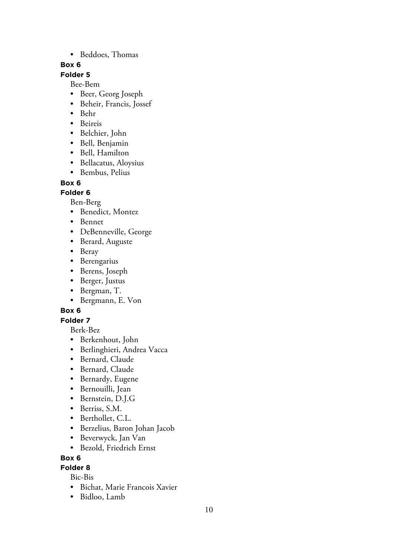• Beddoes, Thomas

#### **Box 6**

## **Folder 5**

Bee-Bem

- Beer, Georg Joseph
- Beheir, Francis, Jossef
- Behr
- Beireis
- Belchier, John
- Bell, Benjamin
- Bell, Hamilton
- Bellacatus, Aloysius
- Bembus, Pelius

#### **Box 6**

#### **Folder 6**

Ben-Berg

- Benedict, Montez
- Bennet
- DeBenneville, George
- Berard, Auguste
- Beray
- Berengarius
- Berens, Joseph
- Berger, Justus
- Bergman, T.
- Bergmann, E. Von

## **Box 6**

## **Folder 7**

Berk-Bez

- Berkenhout, John
- Berlinghieri, Andrea Vacca
- Bernard, Claude
- Bernard, Claude
- Bernardy, Eugene
- Bernouilli, Jean
- Bernstein, D.J.G
- Berriss, S.M.
- Berthollet, C.L.
- Berzelius, Baron Johan Jacob
- Beverwyck, Jan Van
- Bezold, Friedrich Ernst

#### **Box 6**

# **Folder 8**

Bic-Bis

- Bichat, Marie Francois Xavier
- Bidloo, Lamb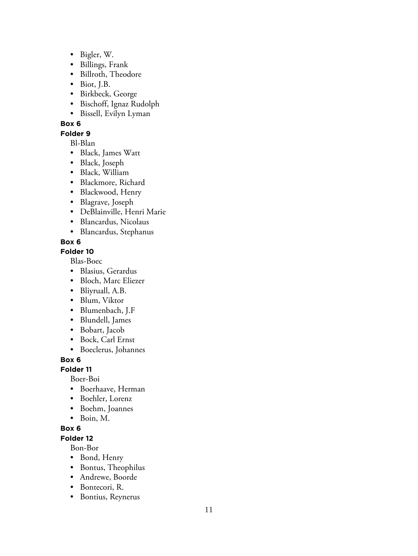- Bigler, W.
- Billings, Frank
- Billroth, Theodore
- Biot, J.B.
- Birkbeck, George
- Bischoff, Ignaz Rudolph
- Bissell, Evilyn Lyman

## **Folder 9**

Bl-Blan

- Black, James Watt
- Black, Joseph
- Black, William
- Blackmore, Richard
- Blackwood, Henry
- Blagrave, Joseph
- DeBlainville, Henri Marie
- Blancardus, Nicolaus
- Blancardus, Stephanus

#### **Box 6**

#### **Folder 10**

Blas-Boec

- Blasius, Gerardus
- Bloch, Marc Eliezer
- Bliyruall, A.B.
- Blum, Viktor
- Blumenbach, J.F
- Blundell, James
- Bobart, Jacob
- Bock, Carl Ernst
- Boeclerus, Johannes

## **Box 6**

**Folder 11**

Boer-Boi

- Boerhaave, Herman
- Boehler, Lorenz
- Boehm, Joannes
- Boin, M.

## **Box 6**

**Folder 12**

Bon-Bor

- Bond, Henry
- Bontus, Theophilus
- Andrewe, Boorde
- Bontecori, R.
- Bontius, Reynerus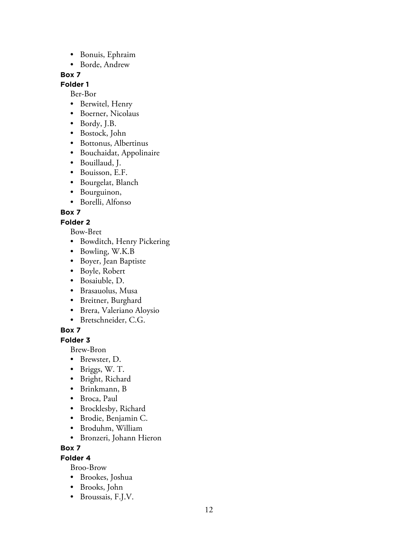- Bonuis, Ephraim
- Borde, Andrew

#### **Folder 1**

Ber-Bor

- Berwitel, Henry
- Boerner, Nicolaus
- Bordy, J.B.
- Bostock, John
- Bottonus, Albertinus
- Bouchaidat, Appolinaire
- Bouillaud, J.
- Bouisson, E.F.
- Bourgelat, Blanch
- Bourguinon,
- Borelli, Alfonso

**Box 7**

#### **Folder 2**

Bow-Bret

- Bowditch, Henry Pickering
- Bowling, W.K.B
- Boyer, Jean Baptiste
- Boyle, Robert
- Bosaiuble, D.
- Brasauolus, Musa
- Breitner, Burghard
- Brera, Valeriano Aloysio
- Bretschneider, C.G.

## **Box 7**

**Folder 3**

Brew-Bron

- Brewster, D.
- Briggs, W. T.
- Bright, Richard
- Brinkmann, B
- Broca, Paul
- Brocklesby, Richard
- Brodie, Benjamin C.
- Broduhm, William
- Bronzeri, Johann Hieron

**Box 7**

## **Folder 4**

Broo-Brow

- Brookes, Joshua
- Brooks, John
- Broussais, F.J.V.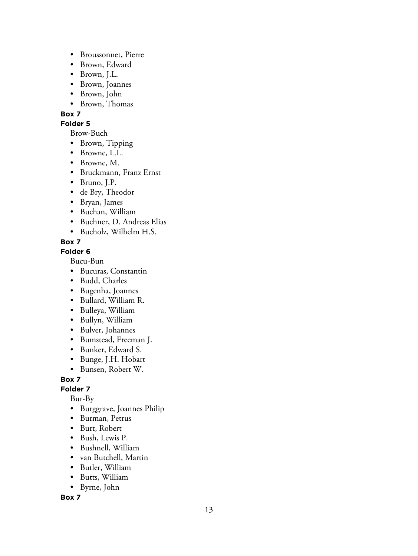- Broussonnet, Pierre
- Brown, Edward
- Brown, J.L.
- Brown, Joannes
- Brown, John
- Brown, Thomas
- **Box 7**

#### **Folder 5**

Brow-Buch

- Brown, Tipping
- Browne, L.L.
- Browne, M.
- Bruckmann, Franz Ernst
- Bruno, J.P.
- de Bry, Theodor
- Bryan, James
- Buchan, William
- Buchner, D. Andreas Elias
- Bucholz, Wilhelm H.S.

#### **Box 7**

**Folder 6**

Bucu-Bun

- Bucuras, Constantin
- Budd, Charles
- Bugenha, Joannes
- Bullard, William R.
- Bulleya, William
- Bullyn, William
- Bulver, Johannes
- Bumstead, Freeman J.
- Bunker, Edward S.
- Bunge, J.H. Hobart
- Bunsen, Robert W.

**Box 7**

#### **Folder 7**

Bur-By

- Burggrave, Joannes Philip
- Burman, Petrus
- Burt, Robert
- Bush, Lewis P.
- Bushnell, William
- van Butchell, Martin
- Butler, William
- Butts, William
- Byrne, John

**Box 7**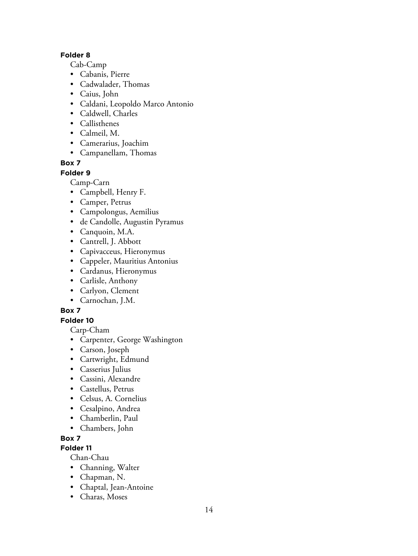#### **Folder 8**

Cab-Camp

- Cabanis, Pierre
- Cadwalader, Thomas
- Caius, John
- Caldani, Leopoldo Marco Antonio
- Caldwell, Charles
- Callisthenes
- Calmeil, M.
- Camerarius, Joachim
- Campanellam, Thomas

## **Box 7**

#### **Folder 9**

Camp-Carn

- Campbell, Henry F.
- Camper, Petrus
- Campolongus, Aemilius
- de Candolle, Augustin Pyramus
- Canquoin, M.A.
- Cantrell, J. Abbott
- Capivacceus, Hieronymus
- Cappeler, Mauritius Antonius
- Cardanus, Hieronymus
- Carlisle, Anthony
- Carlyon, Clement
- Carnochan, J.M.

#### **Box 7**

#### **Folder 10**

Carp-Cham

- Carpenter, George Washington
- Carson, Joseph
- Cartwright, Edmund
- Casserius Julius
- Cassini, Alexandre
- Castellus, Petrus
- Celsus, A. Cornelius
- Cesalpino, Andrea
- Chamberlin, Paul
- Chambers, John

#### **Box 7**

**Folder 11**

Chan-Chau

- Channing, Walter
- Chapman, N.
- Chaptal, Jean-Antoine
- Charas, Moses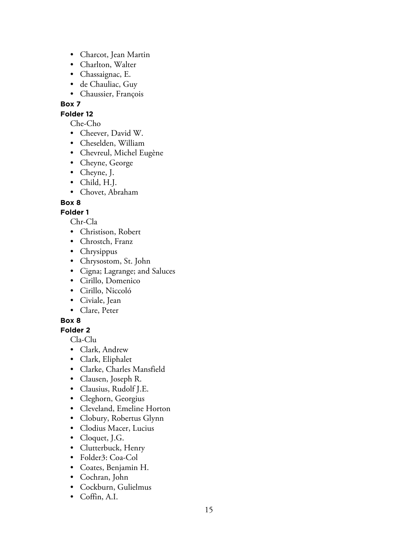- Charcot, Jean Martin
- Charlton, Walter
- Chassaignac, E.
- de Chauliac, Guy
- Chaussier, François

## **Folder 12**

Che-Cho

- Cheever, David W.
- Cheselden, William
- Chevreul, Michel Eugène
- Cheyne, George
- Cheyne, J.
- Child, H.J.
- Chovet, Abraham

**Box 8**

## **Folder 1**

Chr-Cla

- Christison, Robert
- Chrostch, Franz
- Chrysippus
- Chrysostom, St. John
- Cigna; Lagrange; and Saluces
- Cirillo, Domenico
- Cirillo, Niccoló
- Civiale, Jean
- Clare, Peter

#### **Box 8**

## **Folder 2**

Cla-Clu

- Clark, Andrew
- Clark, Eliphalet
- Clarke, Charles Mansfield
- Clausen, Joseph R.
- Clausius, Rudolf J.E.
- Cleghorn, Georgius
- Cleveland, Emeline Horton
- Clobury, Robertus Glynn
- Clodius Macer, Lucius
- Cloquet, J.G.
- Clutterbuck, Henry
- Folder3: Coa-Col
- Coates, Benjamin H.
- Cochran, John
- Cockburn, Gulielmus
- Coffin, A.I.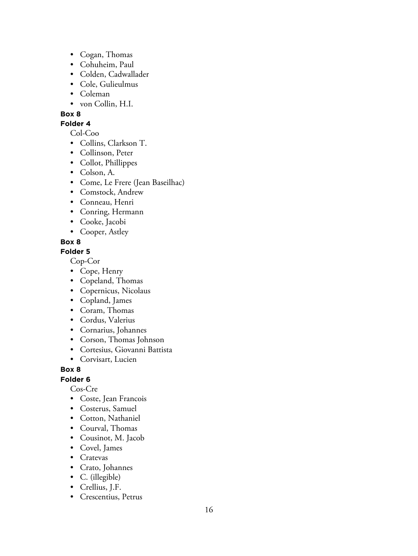- Cogan, Thomas
- Cohuheim, Paul
- Colden, Cadwallader
- Cole, Gulieulmus
- Coleman
- von Collin, H.I.

#### **Folder 4**

Col-Coo

- Collins, Clarkson T.
- Collinson, Peter
- Collot, Phillippes
- Colson, A.
- Come, Le Frere (Jean Baseilhac)
- Comstock, Andrew
- Conneau, Henri
- Conring, Hermann
- Cooke, Jacobi
- Cooper, Astley

## **Box 8**

#### **Folder 5**

Cop-Cor

- Cope, Henry
- Copeland, Thomas
- Copernicus, Nicolaus
- Copland, James
- Coram, Thomas
- Cordus, Valerius
- Cornarius, Johannes
- Corson, Thomas Johnson
- Cortesius, Giovanni Battista
- Corvisart, Lucien

## **Box 8**

#### **Folder 6**

Cos-Cre

- Coste, Jean Francois
- Costerus, Samuel
- Cotton, Nathaniel
- Courval, Thomas
- Cousinot, M. Jacob
- Covel, James
- Cratevas
- Crato, Johannes
- C. (illegible)
- Crellius, J.F.
- Crescentius, Petrus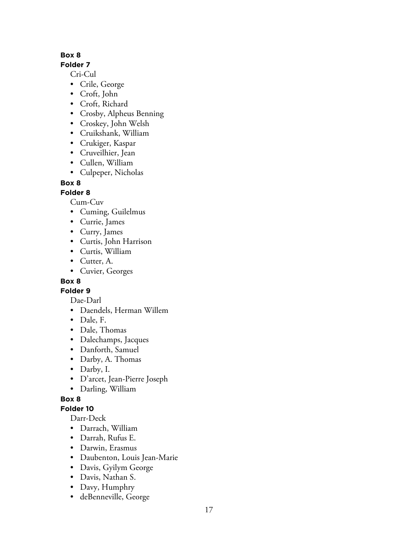## **Folder 7**

Cri-Cul

- Crile, George
- Croft, John
- Croft, Richard
- Crosby, Alpheus Benning
- Croskey, John Welsh
- Cruikshank, William
- Crukiger, Kaspar
- Cruveilhier, Jean
- Cullen, William
- Culpeper, Nicholas

## **Box 8**

**Folder 8**

Cum-Cuv

- Cuming, Guilelmus
- Currie, James
- Curry, James
- Curtis, John Harrison
- Curtis, William
- Cutter, A.
- Cuvier, Georges

## **Box 8**

**Folder 9**

Dae-Darl

- Daendels, Herman Willem
- Dale, F.
- Dale, Thomas
- Dalechamps, Jacques
- Danforth, Samuel
- Darby, A. Thomas
- Darby, I.
- D'arcet, Jean-Pierre Joseph
- Darling, William

# **Box 8**

## **Folder 10**

Darr-Deck

- Darrach, William
- Darrah, Rufus E.
- Darwin, Erasmus
- Daubenton, Louis Jean-Marie
- Davis, Gyilym George
- Davis, Nathan S.
- Davy, Humphry
- deBenneville, George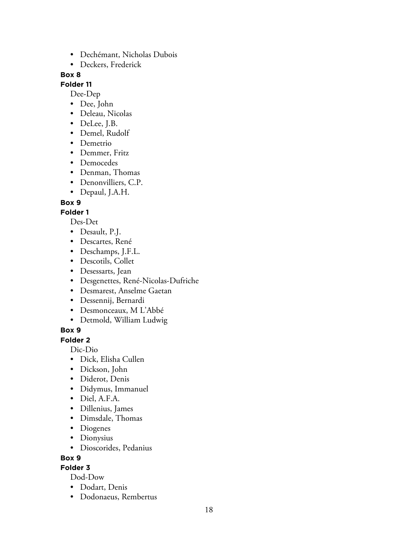- Dechémant, Nicholas Dubois
- Deckers, Frederick

#### **Folder 11**

Dee-Dep

- Dee, John
- Deleau, Nicolas
- DeLee, J.B.
- Demel, Rudolf
- Demetrio
- Demmer, Fritz
- Democedes
- Denman, Thomas
- Denonvilliers, C.P.
- Depaul, J.A.H.

## **Box 9**

## **Folder 1**

Des-Det

- Desault, P.J.
- Descartes, René
- Deschamps, J.F.L.
- Descotils, Collet
- Desessarts, Jean
- Desgenettes, René-Nicolas-Dufriche
- Desmarest, Anselme Gaetan
- Dessennij, Bernardi
- Desmonceaux, M L'Abbé
- Detmold, William Ludwig

## **Box 9**

**Folder 2**

Dic-Dio

- Dick, Elisha Cullen
- Dickson, John
- Diderot, Denis
- Didymus, Immanuel
- Diel, A.F.A.
- Dillenius, James
- Dimsdale, Thomas
- Diogenes
- Dionysius
- Dioscorides, Pedanius

**Box 9**

**Folder 3**

Dod-Dow

- Dodart, Denis
- Dodonaeus, Rembertus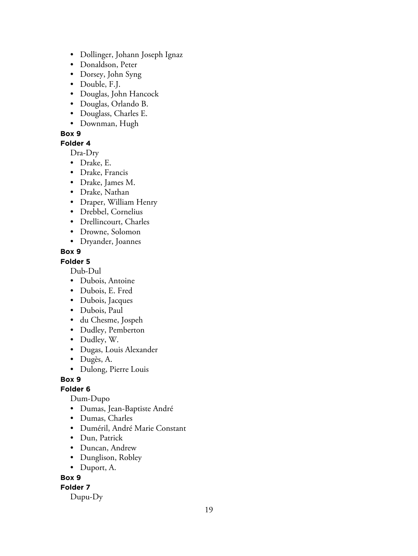- Dollinger, Johann Joseph Ignaz
- Donaldson, Peter
- Dorsey, John Syng
- Double, F.J.
- Douglas, John Hancock
- Douglas, Orlando B.
- Douglass, Charles E.
- Downman, Hugh

#### **Folder 4**

Dra-Dry

- Drake, E.
- Drake, Francis
- Drake, James M.
- Drake, Nathan
- Draper, William Henry
- Drebbel, Cornelius
- Drellincourt, Charles
- Drowne, Solomon
- Dryander, Joannes

#### **Box 9**

**Folder 5**

Dub-Dul

- Dubois, Antoine
- Dubois, E. Fred
- Dubois, Jacques
- Dubois, Paul
- du Chesme, Jospeh
- Dudley, Pemberton
- Dudley, W.
- Dugas, Louis Alexander
- Dugès, A.
- Dulong, Pierre Louis

#### **Box 9**

#### **Folder 6**

Dum-Dupo

- Dumas, Jean-Baptiste André
- Dumas, Charles
- Duméril, André Marie Constant
- Dun, Patrick
- Duncan, Andrew
- Dunglison, Robley
- Duport, A.

## **Box 9**

#### **Folder 7**

Dupu-Dy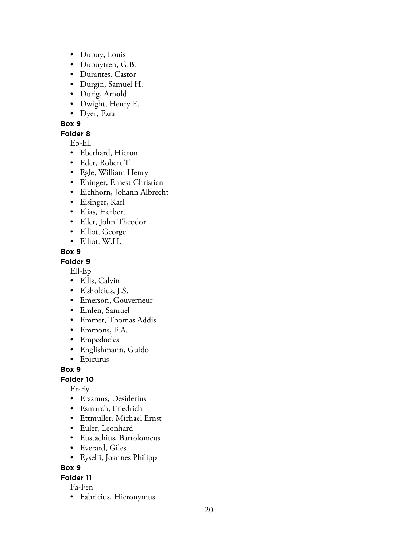- Dupuy, Louis
- Dupuytren, G.B.
- Durantes, Castor
- Durgin, Samuel H.
- Durig, Arnold
- Dwight, Henry E.
- Dyer, Ezra

#### **Folder 8**

Eb-Ell

- Eberhard, Hieron
- Eder, Robert T.
- Egle, William Henry
- Ehinger, Ernest Christian
- Eichhorn, Johann Albrecht
- Eisinger, Karl
- Elias, Herbert
- Eller, John Theodor
- Elliot, George
- Elliot, W.H.

#### **Box 9**

#### **Folder 9**

Ell-Ep

- Ellis, Calvin
- Elsholeius, J.S.
- Emerson, Gouverneur
- Emlen, Samuel
- Emmet, Thomas Addis
- Emmons, F.A.
- Empedocles
- Englishmann, Guido
- Epicurus

#### **Box 9**

## **Folder 10**

Er-Ey

- Erasmus, Desiderius
- Esmarch, Friedrich
- Ettmuller, Michael Ernst
- Euler, Leonhard
- Eustachius, Bartolomeus
- Everard, Giles
- Eyselii, Joannes Philipp

#### **Box 9**

#### **Folder 11**

Fa-Fen

• Fabricius, Hieronymus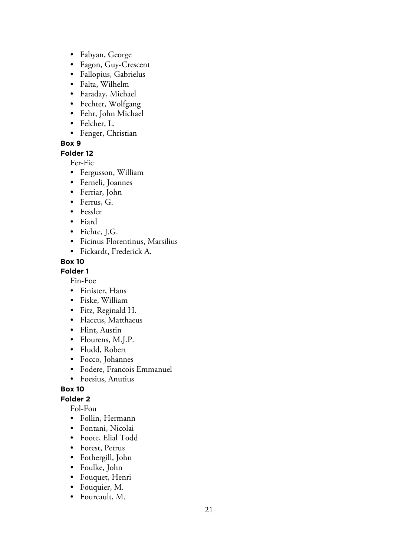- Fabyan, George
- Fagon, Guy-Crescent
- Fallopius, Gabrielus
- Falta, Wilhelm
- Faraday, Michael
- Fechter, Wolfgang
- Fehr, John Michael
- Felcher, L.
- Fenger, Christian

#### **Folder 12**

Fer-Fic

- Fergusson, William
- Ferneli, Joannes
- Ferriar, John
- Ferrus, G.
- Fessler
- Fiard
- Fichte, J.G.
- Ficinus Florentinus, Marsilius
- Fickardt, Frederick A.

## **Box 10**

**Folder 1**

Fin-Foe

- Finister, Hans
- Fiske, William
- Fitz, Reginald H.
- Flaccus, Matthaeus
- Flint, Austin
- Flourens, M.J.P.
- Fludd, Robert
- Focco, Johannes
- Fodere, Francois Emmanuel
- Foesius, Anutius

## **Box 10**

## **Folder 2**

Fol-Fou

- Follin, Hermann
- Fontani, Nicolai
- Foote, Elial Todd
- Forest, Petrus
- Fothergill, John
- Foulke, John
- Fouquet, Henri
- Fouquier, M.
- Fourcault, M.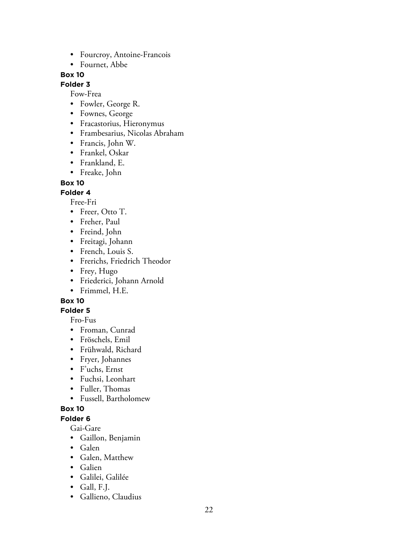- Fourcroy, Antoine-Francois
- Fournet, Abbe

#### **Folder 3**

Fow-Frea

- Fowler, George R.
- Fownes, George
- Fracastorius, Hieronymus
- Frambesarius, Nicolas Abraham
- Francis, John W.
- Frankel, Oskar
- Frankland, E.
- Freake, John

#### **Box 10**

#### **Folder 4**

Free-Fri

- Freer, Otto T.
- Freher, Paul
- Freind, John
- Freitagi, Johann
- French, Louis S.
- Frerichs, Friedrich Theodor
- Frey, Hugo
- Friederici, Johann Arnold
- Frimmel, H.E.

## **Box 10**

**Folder 5**

Fro-Fus

- Froman, Cunrad
- Fröschels, Emil
- Frühwald, Richard
- Fryer, Johannes
- F'uchs, Ernst
- Fuchsi, Leonhart
- Fuller, Thomas
- Fussell, Bartholomew

#### **Box 10**

#### **Folder 6**

Gai-Gare

- Gaillon, Benjamin
- Galen
- Galen, Matthew
- Galien
- Galilei, Galilée
- Gall, F.J.
- Gallieno, Claudius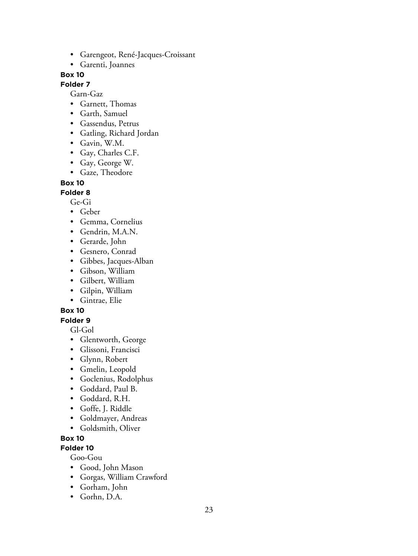- Garengeot, René-Jacques-Croissant
- Garenti, Joannes

#### **Folder 7**

Garn-Gaz

- Garnett, Thomas
- Garth, Samuel
- Gassendus, Petrus
- Gatling, Richard Jordan
- Gavin, W.M.
- Gay, Charles C.F.
- Gay, George W.
- Gaze, Theodore

#### **Box 10**

**Folder 8**

Ge-Gi

- Geber
- Gemma, Cornelius
- Gendrin, M.A.N.
- Gerarde, John
- Gesnero, Conrad
- Gibbes, Jacques-Alban
- Gibson, William
- Gilbert, William
- Gilpin, William
- Gintrae, Elie

## **Box 10**

**Folder 9**

Gl-Gol

- Glentworth, George
- Glissoni, Francisci
- Glynn, Robert
- Gmelin, Leopold
- Goclenius, Rodolphus
- Goddard, Paul B.
- Goddard, R.H.
- Goffe, J. Riddle
- Goldmayer, Andreas
- Goldsmith, Oliver

#### **Box 10**

**Folder 10**

Goo-Gou

- Good, John Mason
- Gorgas, William Crawford
- Gorham, John
- Gorhn, D.A.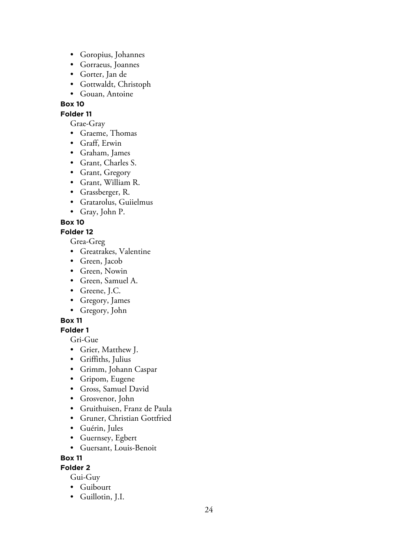- Goropius, Johannes
- Gorraeus, Joannes
- Gorter, Jan de
- Gottwaldt, Christoph
- Gouan, Antoine

**Folder 11**

Grae-Gray

- Graeme, Thomas
- Graff, Erwin
- Graham, James
- Grant, Charles S.
- Grant, Gregory
- Grant, William R.
- Grassberger, R.
- Gratarolus, Guiielmus
- Gray, John P.

**Box 10**

## **Folder 12**

Grea-Greg

- Greatrakes, Valentine
- Green, Jacob
- Green, Nowin
- Green, Samuel A.
- Greene, J.C.
- Gregory, James
- Gregory, John

#### **Box 11**

#### **Folder 1**

Gri-Gue

- Grier, Matthew J.
- Griffiths, Julius
- Grimm, Johann Caspar
- Gripom, Eugene
- Gross, Samuel David
- Grosvenor, John
- Gruithuisen, Franz de Paula
- Gruner, Christian Gottfried
- Guérin, Jules
- Guernsey, Egbert
- Guersant, Louis-Benoit

#### **Box 11**

# **Folder 2**

Gui-Guy

- Guibourt
- Guillotin, J.I.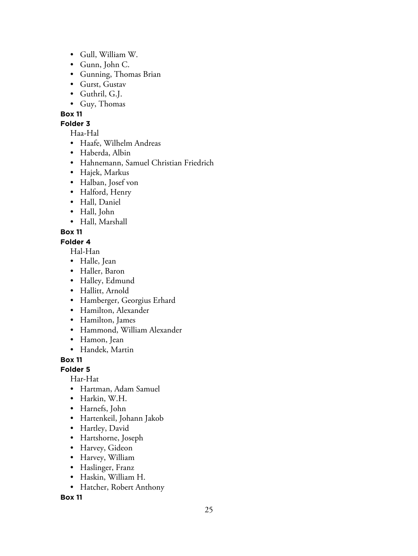- Gull, William W.
- Gunn, John C.
- Gunning, Thomas Brian
- Gurst, Gustav
- Guthril, G.J.
- Guy, Thomas

#### **Folder 3**

Haa-Hal

- Haafe, Wilhelm Andreas
- Haberda, Albin
- Hahnemann, Samuel Christian Friedrich
- Hajek, Markus
- Halban, Josef von
- Halford, Henry
- Hall, Daniel
- Hall, John
- Hall, Marshall

## **Box 11**

## **Folder 4**

Hal-Han

- Halle, Jean
- Haller, Baron
- Halley, Edmund
- Hallitt, Arnold
- Hamberger, Georgius Erhard
- Hamilton, Alexander
- Hamilton, James
- Hammond, William Alexander
- Hamon, Jean
- Handek, Martin

**Box 11**

## **Folder 5**

Har-Hat

- Hartman, Adam Samuel
- Harkin, W.H.
- Harnefs, John
- Hartenkeil, Johann Jakob
- Hartley, David
- Hartshorne, Joseph
- Harvey, Gideon
- Harvey, William
- Haslinger, Franz
- Haskin, William H.
- Hatcher, Robert Anthony

**Box 11**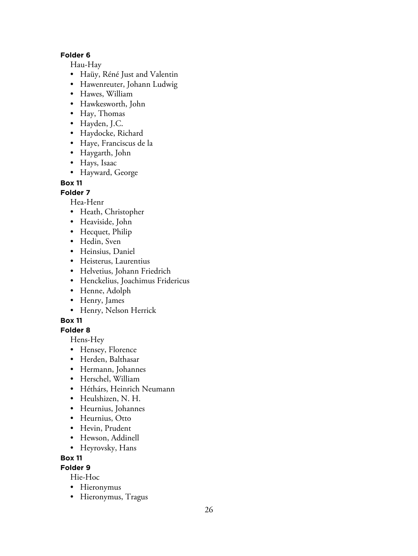#### **Folder 6**

Hau-Hay

- Haüy, Réné Just and Valentin
- Hawenreuter, Johann Ludwig
- Hawes, William
- Hawkesworth, John
- Hay, Thomas
- Hayden, J.C.
- Haydocke, Richard
- Haye, Franciscus de la
- Haygarth, John
- Hays, Isaac
- Hayward, George

#### **Box 11**

#### **Folder 7**

Hea-Henr

- Heath, Christopher
- Heaviside, John
- Hecquet, Philip
- Hedin, Sven
- Heinsius, Daniel
- Heisterus, Laurentius
- Helvetius, Johann Friedrich
- Henckelius, Joachimus Fridericus
- Henne, Adolph
- Henry, James
- Henry, Nelson Herrick

#### **Box 11**

## **Folder 8**

Hens-Hey

- Hensey, Florence
- Herden, Balthasar
- Hermann, Johannes
- Herschel, William
- Héthárs, Heinrich Neumann
- Heulshizen, N. H.
- Heurnius, Johannes
- Heurnius, Otto
- Hevin, Prudent
- Hewson, Addinell
- Heyrovsky, Hans

**Box 11**

**Folder 9**

Hie-Hoc

- Hieronymus
- Hieronymus, Tragus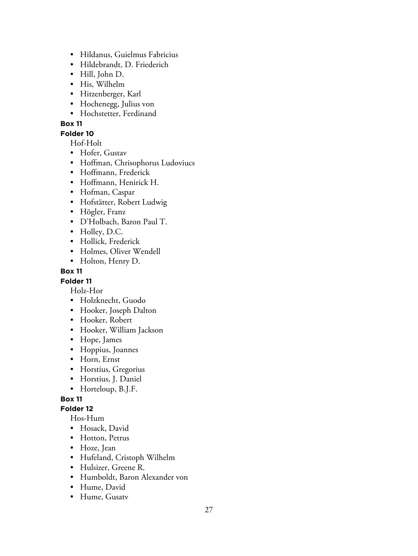- Hildanus, Guielmus Fabricius
- Hildebrandt, D. Friederich
- Hill, John D.
- His, Wilhelm
- Hitzenberger, Karl
- Hochenegg, Julius von
- Hochstetter, Ferdinand

## **Folder 10**

Hof-Holt

- Hofer, Gustav
- Hoffman, Chrisophorus Ludoviucs
- Hoffmann, Frederick
- Hoffmann, Henirick H.
- Hofman, Caspar
- Hofstätter, Robert Ludwig
- Högler, Franz
- D'Holbach, Baron Paul T.
- Holley, D.C.
- Hollick, Frederick
- Holmes, Oliver Wendell
- Holton, Henry D.

## **Box 11**

## **Folder 11**

Holz-Hor

- Holzknecht, Guodo
- Hooker, Joseph Dalton
- Hooker, Robert
- Hooker, William Jackson
- Hope, James
- Hoppius, Joannes
- Horn, Ernst
- Horstius, Gregorius
- Horstius, J. Daniel
- Horteloup, B.J.F.

## **Box 11**

#### **Folder 12**

Hos-Hum

- Hosack, David
- Hotton, Petrus
- Hoze, Jean
- Hufeland, Cristoph Wilhelm
- Hulsizer, Greene R.
- Humboldt, Baron Alexander von
- Hume, David
- Hume, Gusatv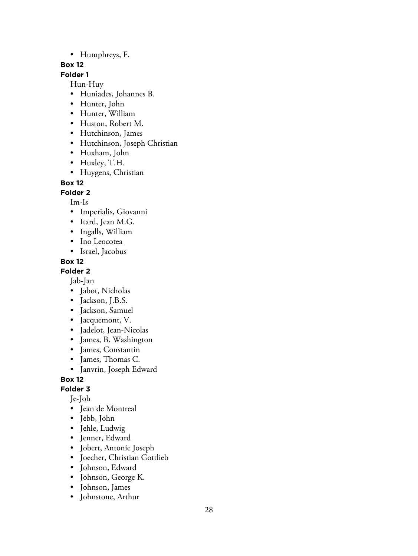• Humphreys, F.

#### **Box 12**

**Folder 1**

Hun-Huy

- Huniades, Johannes B.
- Hunter, John
- Hunter, William
- Huston, Robert M.
- Hutchinson, James
- Hutchinson, Joseph Christian
- Huxham, John
- Huxley, T.H.
- Huygens, Christian

#### **Box 12**

#### **Folder 2**

Im-Is

- Imperialis, Giovanni
- Itard, Jean M.G.
- Ingalls, William
- Ino Leocotea
- Israel, Jacobus

## **Box 12**

#### **Folder 2**

Jab-Jan

- Jabot, Nicholas
- Jackson, J.B.S.
- Jackson, Samuel
- Jacquemont, V.
- Jadelot, Jean-Nicolas
- James, B. Washington
- James, Constantin
- James, Thomas C.
- Janvrin, Joseph Edward

## **Box 12**

#### **Folder 3**

Je-Joh

- Jean de Montreal
- Jebb, John
- Jehle, Ludwig
- Jenner, Edward
- Jobert, Antonie Joseph
- Joecher, Christian Gottlieb
- Johnson, Edward
- Johnson, George K.
- Johnson, James
- Johnstone, Arthur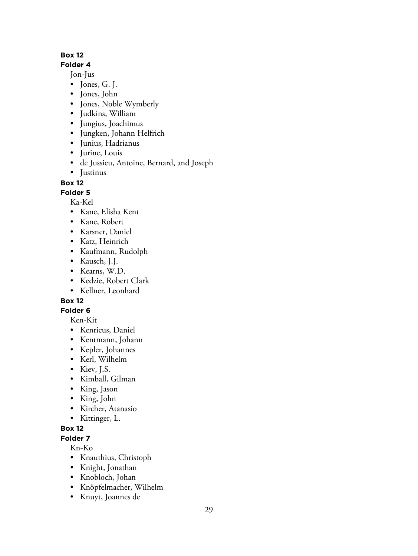#### **Folder 4**

Jon-Jus

- Jones, G. J.
- Jones, John
- Jones, Noble Wymberly
- Judkins, William
- Jungius, Joachimus
- Jungken, Johann Helfrich
- Junius, Hadrianus
- Jurine, Louis
- de Jussieu, Antoine, Bernard, and Joseph
- Justinus

## **Box 12**

**Folder 5**

Ka-Kel

- Kane, Elisha Kent
- Kane, Robert
- Karsner, Daniel
- Katz, Heinrich
- Kaufmann, Rudolph
- Kausch, J.J.
- Kearns, W.D.
- Kedzie, Robert Clark
- Kellner, Leonhard

**Box 12**

# **Folder 6**

Ken-Kit

- Kenricus, Daniel
- Kentmann, Johann
- Kepler, Johannes
- Kerl, Wilhelm
- Kiev, J.S.
- Kimball, Gilman
- King, Jason
- King, John
- Kircher, Atanasio
- Kittinger, L.

# **Box 12**

**Folder 7**

Kn-Ko

- Knauthius, Christoph
- Knight, Jonathan
- Knobloch, Johan
- Knöpfelmacher, Wilhelm
- Knuyt, Joannes de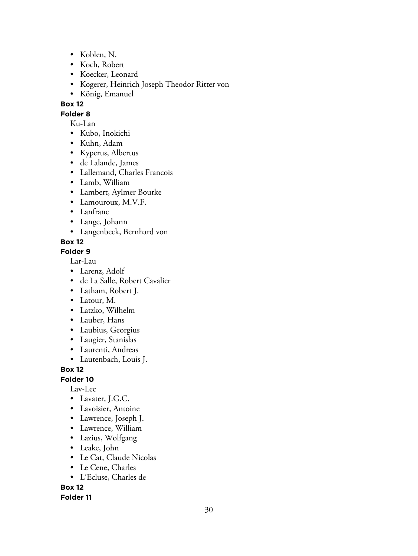- Koblen, N.
- Koch, Robert
- Koecker, Leonard
- Kogerer, Heinrich Joseph Theodor Ritter von
- König, Emanuel

**Folder 8**

Ku-Lan

- Kubo, Inokichi
- Kuhn, Adam
- Kyperus, Albertus
- de Lalande, James
- Lallemand, Charles Francois
- Lamb, William
- Lambert, Aylmer Bourke
- Lamouroux, M.V.F.
- Lanfranc
- Lange, Johann
- Langenbeck, Bernhard von

## **Box 12**

#### **Folder 9**

Lar-Lau

- Larenz, Adolf
- de La Salle, Robert Cavalier
- Latham, Robert J.
- Latour, M.
- Latzko, Wilhelm
- Lauber, Hans
- Laubius, Georgius
- Laugier, Stanislas
- Laurenti, Andreas
- Lautenbach, Louis J.

## **Box 12**

**Folder 10**

Lav-Lec

- Lavater, J.G.C.
- Lavoisier, Antoine
- Lawrence, Joseph J.
- Lawrence, William
- Lazius, Wolfgang
- Leake, John
- Le Cat, Claude Nicolas
- Le Cene, Charles
- L'Ecluse, Charles de

**Box 12**

**Folder 11**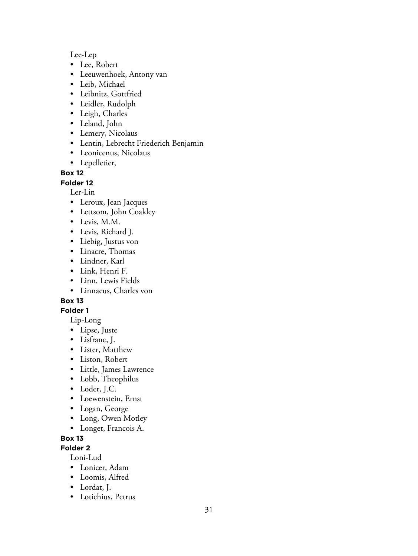Lee-Lep

- Lee, Robert
- Leeuwenhoek, Antony van
- Leib, Michael
- Leibnitz, Gottfried
- Leidler, Rudolph
- Leigh, Charles
- Leland, John
- Lemery, Nicolaus
- Lentin, Lebrecht Friederich Benjamin
- Leonicenus, Nicolaus
- Lepelletier,

## **Box 12**

**Folder 12**

Ler-Lin

- Leroux, Jean Jacques
- Lettsom, John Coakley
- Levis, M.M.
- Levis, Richard J.
- Liebig, Justus von
- Linacre, Thomas
- Lindner, Karl
- Link, Henri F.
- Linn, Lewis Fields
- Linnaeus, Charles von

## **Box 13**

**Folder 1**

Lip-Long

- Lipse, Juste
- Lisfranc, J.
- Lister, Matthew
- Liston, Robert
- Little, James Lawrence
- Lobb, Theophilus
- Loder, J.C.
- Loewenstein, Ernst
- Logan, George
- Long, Owen Motley
- Longet, Francois A.

#### **Box 13**

**Folder 2**

Loni-Lud

- Lonicer, Adam
- Loomis, Alfred
- Lordat, J.
- Lotichius, Petrus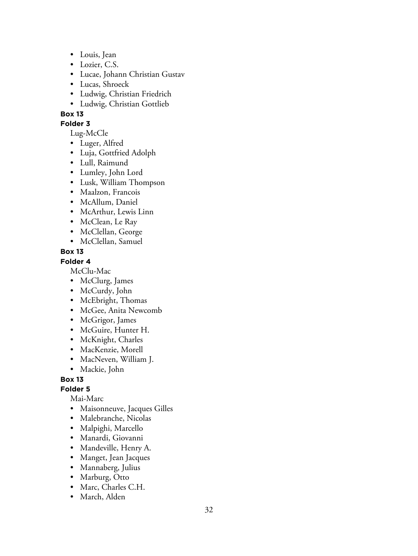- Louis, Jean
- Lozier, C.S.
- Lucae, Johann Christian Gustav
- Lucas, Shroeck
- Ludwig, Christian Friedrich
- Ludwig, Christian Gottlieb

**Folder 3**

Lug-McCle

- Luger, Alfred
- Luja, Gottfried Adolph
- Lull, Raimund
- Lumley, John Lord
- Lusk, William Thompson
- Maalzon, Francois
- McAllum, Daniel
- McArthur, Lewis Linn
- McClean, Le Ray
- McClellan, George
- McClellan, Samuel

#### **Box 13**

**Folder 4**

McClu-Mac

- McClurg, James
- McCurdy, John
- McEbright, Thomas
- McGee, Anita Newcomb
- McGrigor, James
- McGuire, Hunter H.
- McKnight, Charles
- MacKenzie, Morell
- MacNeven, William J.
- Mackie, John

**Box 13**

#### **Folder 5**

Mai-Marc

- Maisonneuve, Jacques Gilles
- Malebranche, Nicolas
- Malpighi, Marcello
- Manardi, Giovanni
- Mandeville, Henry A.
- Manget, Jean Jacques
- Mannaberg, Julius
- Marburg, Otto
- Marc, Charles C.H.
- March, Alden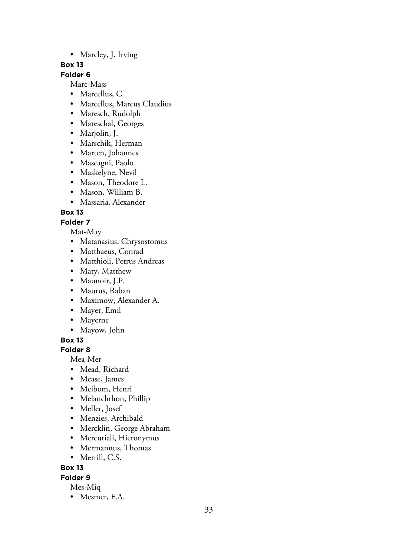• Marcley, J. Irving

## **Box 13**

## **Folder 6**

Marc-Mass

- Marcellus, C.
- Marcellus, Marcus Claudius
- Maresch, Rudolph
- Mareschal, Georges
- Marjolin, J.
- Marschik, Herman
- Marten, Johannes
- Mascagni, Paolo
- Maskelyne, Nevil
- Mason, Theodore L.
- Mason, William B.
- Massaria, Alexander

**Box 13**

## **Folder 7**

Mat-May

- Matanasius, Chrysostomus
- Matthaeus, Conrad
- Matthioli, Petrus Andreas
- Maty, Matthew
- Maunoir, J.P.
- Maurus, Raban
- Maximow, Alexander A.
- Mayer, Emil
- Mayerne
- Mayow, John

**Box 13**

**Folder 8**

Mea-Mer

- Mead, Richard
- Mease, James
- Meibom, Henri
- Melanchthon, Phillip
- Meller, Josef
- Menzies, Archibald
- Mercklin, George Abraham
- Mercuriali, Hieronymus
- Mermannus, Thomas
- Merrill, C.S.

# **Box 13**

## **Folder 9**

- Mes-Miq
- Mesmer, F.A.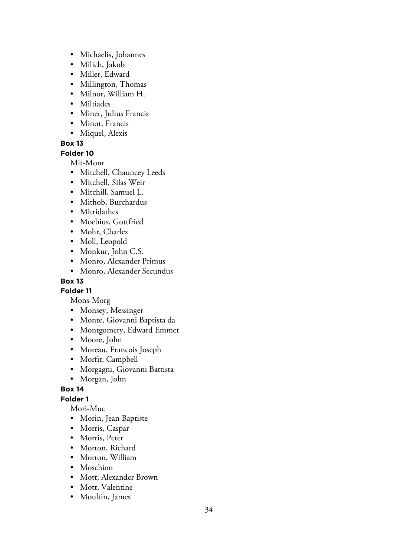- Michaelis, Johannes
- Milich, Jakob
- Miller, Edward
- Millington, Thomas
- Milnor, William H.
- Miltiades
- Miner, Julius Francis
- Minot, Francis
- Miquel, Alexis

#### **Folder 10**

Mit-Monr

- Mitchell, Chauncey Leeds
- Mitchell, Silas Weir
- Mitchill, Samuel L.
- Mithob, Burchardus
- Mitridathes
- Moebius, Gottfried
- Mohr, Charles
- Moll, Leopold
- Monkur, John C.S.
- Monro, Alexander Primus
- Monro, Alexander Secundus

#### **Box 13**

#### **Folder 11**

Mons-Morg

- Monsey, Messinger
- Monte, Giovanni Baptista da
- Montgomery, Edward Emmet
- Moore, John
- Moreau, Francois Joseph
- Morfit, Campbell
- Morgagni, Giovanni Battista
- Morgan, John

#### **Box 14**

#### **Folder 1**

Mori-Muc

- Morin, Jean Baptiste
- Morris, Caspar
- Morris, Peter
- Morton, Richard
- Morton, William
- Moschion
- Mott, Alexander Brown
- Mott, Valentine
- Moultin, James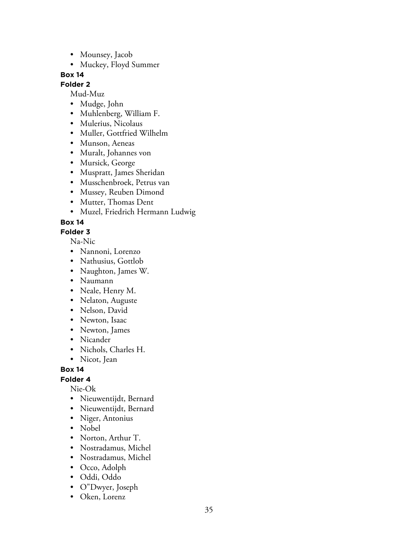- Mounsey, Jacob
- Muckey, Floyd Summer

#### **Folder 2**

Mud-Muz

- Mudge, John
- Muhlenberg, William F.
- Mulerius, Nicolaus
- Muller, Gottfried Wilhelm
- Munson, Aeneas
- Muralt, Johannes von
- Mursick, George
- Muspratt, James Sheridan
- Musschenbroek, Petrus van
- Mussey, Reuben Dimond
- Mutter, Thomas Dent
- Muzel, Friedrich Hermann Ludwig

## **Box 14**

**Folder 3**

Na-Nic

- Nannoni, Lorenzo
- Nathusius, Gottlob
- Naughton, James W.
- Naumann
- Neale, Henry M.
- Nelaton, Auguste
- Nelson, David
- Newton, Isaac
- Newton, James
- Nicander
- Nichols, Charles H.
- Nicot, Jean

## **Box 14**

**Folder 4**

Nie-Ok

- Nieuwentijdt, Bernard
- Nieuwentijdt, Bernard
- Niger, Antonius
- Nobel
- Norton, Arthur T.
- Nostradamus, Michel
- Nostradamus, Michel
- Occo, Adolph
- Oddi, Oddo
- O"Dwyer, Joseph
- Oken, Lorenz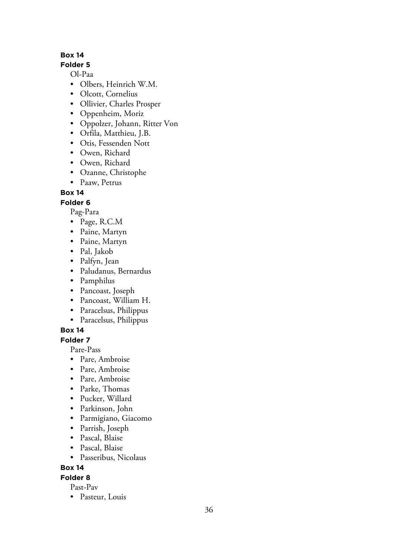#### **Folder 5**

Ol-Paa

- Olbers, Heinrich W.M.
- Olcott, Cornelius
- Ollivier, Charles Prosper
- Oppenheim, Moriz
- Oppolzer, Johann, Ritter Von
- Orfila, Matthieu, J.B.
- Otis, Fessenden Nott
- Owen, Richard
- Owen, Richard
- Ozanne, Christophe
- Paaw, Petrus

**Box 14**

#### **Folder 6**

Pag-Para

- Page, R.C.M
- Paine, Martyn
- Paine, Martyn
- Pal, Jakob
- Palfyn, Jean
- Paludanus, Bernardus
- Pamphilus
- Pancoast, Joseph
- Pancoast, William H.
- Paracelsus, Philippus
- Paracelsus, Philippus

#### **Box 14**

**Folder 7**

Pare-Pass

- Pare, Ambroise
- Pare, Ambroise
- Pare, Ambroise
- Parke, Thomas
- Pucker, Willard
- Parkinson, John
- Parmigiano, Giacomo
- Parrish, Joseph
- Pascal, Blaise
- Pascal, Blaise
- Passeribus, Nicolaus

#### **Box 14**

#### **Folder 8**

Past-Pav

• Pasteur, Louis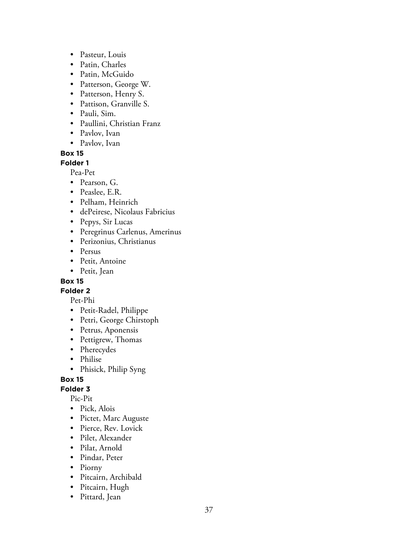- Pasteur, Louis
- Patin, Charles
- Patin, McGuido
- Patterson, George W.
- Patterson, Henry S.
- Pattison, Granville S.
- Pauli, Sim.
- Paullini, Christian Franz
- Pavlov, Ivan
- Pavlov, Ivan

**Folder 1**

Pea-Pet

- Pearson, G.
- Peaslee, E.R.
- Pelham, Heinrich
- dePeirese, Nicolaus Fabricius
- Pepys, Sir Lucas
- Peregrinus Carlenus, Amerinus
- Perizonius, Christianus
- Persus
- Petit, Antoine
- Petit, Jean

## **Box 15**

#### **Folder 2**

Pet-Phi

- Petit-Radel, Philippe
- Petri, George Chirstoph
- Petrus, Aponensis
- Pettigrew, Thomas
- Pherecydes
- Philise
- Phisick, Philip Syng

**Box 15**

#### **Folder 3**

Pic-Pit

- Pick, Alois
- Pictet, Marc Auguste
- Pierce, Rev. Lovick
- Pilet, Alexander
- Pilat, Arnold
- Pindar, Peter
- Piorny
- Pitcairn, Archibald
- Pitcairn, Hugh
- Pittard, Jean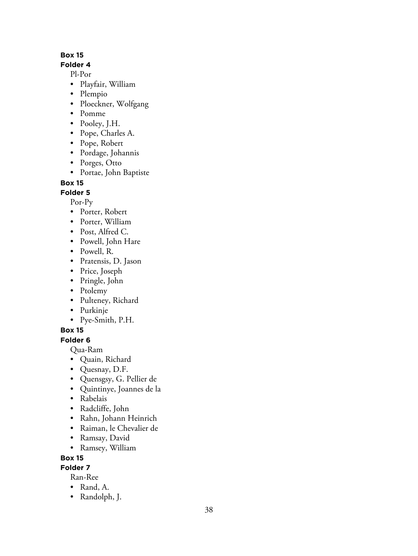#### **Folder 4**

Pl-Por

- Playfair, William
- Plempio
- Ploeckner, Wolfgang
- Pomme
- Pooley, J.H.
- Pope, Charles A.
- Pope, Robert
- Pordage, Johannis
- Porges, Otto
- Portae, John Baptiste

## **Box 15**

# **Folder 5**

Por-Py

- Porter, Robert
- Porter, William
- Post, Alfred C.
- Powell, John Hare
- Powell, R.
- Pratensis, D. Jason
- Price, Joseph
- Pringle, John
- Ptolemy
- Pulteney, Richard
- Purkinje
- Pye-Smith, P.H.

# **Box 15**

## **Folder 6**

Qua-Ram

- Quain, Richard
- Quesnay, D.F.
- Quensgsy, G. Pellier de
- Quintinye, Joannes de la
- Rabelais
- Radcliffe, John
- Rahn, Johann Heinrich
- Raiman, le Chevalier de
- Ramsay, David
- Ramsey, William

## **Box 15**

**Folder 7**

Ran-Ree

- Rand, A.
- Randolph, J.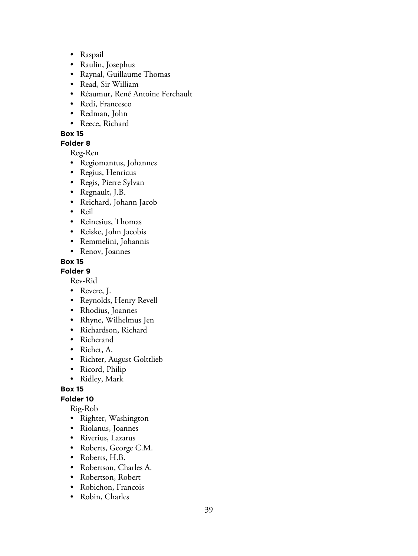- Raspail
- Raulin, Josephus
- Raynal, Guillaume Thomas
- Read, Sir William
- Réaumur, René Antoine Ferchault
- Redi, Francesco
- Redman, John
- Reece, Richard

## **Folder 8**

Reg-Ren

- Regiomantus, Johannes
- Regius, Henricus
- Regis, Pierre Sylvan
- Regnault, J.B.
- Reichard, Johann Jacob
- Reil
- Reinesius, Thomas
- Reiske, John Jacobis
- Remmelini, Johannis
- Renov, Joannes

## **Box 15**

**Folder 9**

Rev-Rid

- Revere, J.
- Reynolds, Henry Revell
- Rhodius, Joannes
- Rhyne, Wilhelmus Jen
- Richardson, Richard
- Richerand
- Richet, A.
- Richter, August Golttlieb
- Ricord, Philip
- Ridley, Mark

**Box 15**

#### **Folder 10**

Rig-Rob

- Righter, Washington
- Riolanus, Joannes
- Riverius, Lazarus
- Roberts, George C.M.
- Roberts, H.B.
- Robertson, Charles A.
- Robertson, Robert
- Robichon, Francois
- Robin, Charles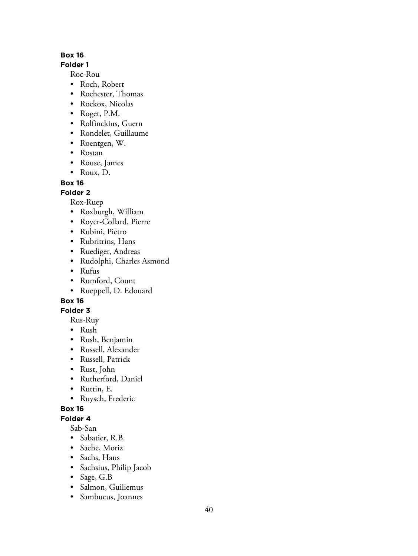## **Folder 1**

Roc-Rou

- Roch, Robert
- Rochester, Thomas
- Rockox, Nicolas
- Roget, P.M.
- Rolfinckius, Guern
- Rondelet, Guillaume
- Roentgen, W.
- Rostan
- Rouse, James
- Roux, D.

**Box 16**

#### **Folder 2**

Rox-Ruep

- Roxburgh, William
- Royer-Collard, Pierre
- Rubini, Pietro
- Rubritrins, Hans
- Ruediger, Andreas
- Rudolphi, Charles Asmond
- Rufus
- Rumford, Count
- Rueppell, D. Edouard

## **Box 16**

**Folder 3**

Rus-Ruy

- Rush
- Rush, Benjamin
- Russell, Alexander
- Russell, Patrick
- Rust, John
- Rutherford, Daniel
- Ruttin, E.
- Ruysch, Frederic

#### **Box 16**

# **Folder 4**

## Sab-San

- Sabatier, R.B.
- Sache, Moriz
- Sachs, Hans
- Sachsius, Philip Jacob
- Sage, G.B
- Salmon, Guiliemus
- Sambucus, Joannes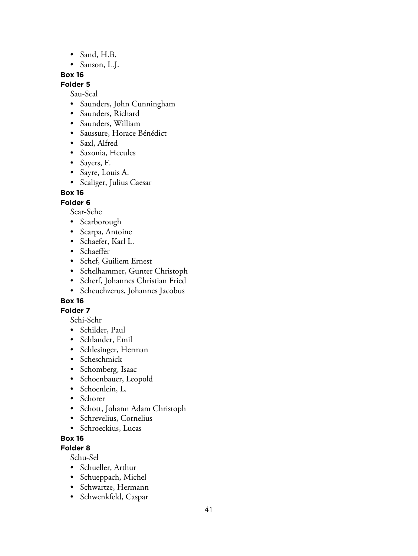- Sand, H.B.
- Sanson, L.J.

## **Folder 5**

Sau-Scal

- Saunders, John Cunningham
- Saunders, Richard
- Saunders, William
- Saussure, Horace Bénédict
- Saxl, Alfred
- Saxonia, Hecules
- Sayers, F.
- Sayre, Louis A.
- Scaliger, Julius Caesar

## **Box 16**

## **Folder 6**

Scar-Sche<br>• Scarbor

- Scarborough
- Scarpa, Antoine
- Schaefer, Karl L.
- Schaeffer
- Schef, Guiliem Ernest
- Schelhammer, Gunter Christoph
- Scherf, Johannes Christian Fried
- Scheuchzerus, Johannes Jacobus

## **Box 16**

**Folder 7**

Schi-Schr

- Schilder, Paul
- Schlander, Emil
- Schlesinger, Herman
- Scheschmick
- Schomberg, Isaac
- Schoenbauer, Leopold
- Schoenlein, L.
- Schorer
- Schott, Johann Adam Christoph
- Schrevelius, Cornelius
- Schroeckius, Lucas

## **Box 16**

**Folder 8**

Schu-Sel

- Schueller, Arthur
- Schueppach, Michel
- Schwartze, Hermann
- Schwenkfeld, Caspar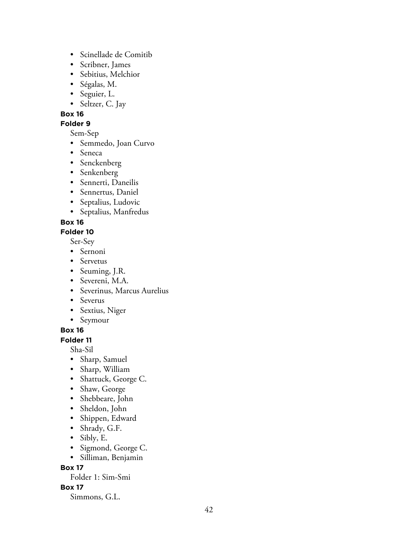- Scinellade de Comitib
- Scribner, James
- Sebitius, Melchior
- Ségalas, M.
- Seguier, L.
- Seltzer, C. Jay

#### **Folder 9**

Sem-Sep

- Semmedo, Joan Curvo
- Seneca
- Senckenberg
- Senkenberg
- Sennerti, Daneilis
- Sennertus, Daniel
- Septalius, Ludovic
- Septalius, Manfredus

#### **Box 16**

# **Folder 10**

Ser-Sey

- Sernoni
- Servetus
- Seuming, J.R.
- Severeni, M.A.
- Severinus, Marcus Aurelius
- Severus
- Sextius, Niger
- Seymour

#### **Box 16**

## **Folder 11**

Sha-Sil

- Sharp, Samuel
- Sharp, William
- Shattuck, George C.
- Shaw, George
- Shebbeare, John
- Sheldon, John
- Shippen, Edward
- Shrady, G.F.
- Sibly, E.
- Sigmond, George C.
- Silliman, Benjamin

#### **Box 17**

Folder 1: Sim-Smi

#### **Box 17**

Simmons, G.L.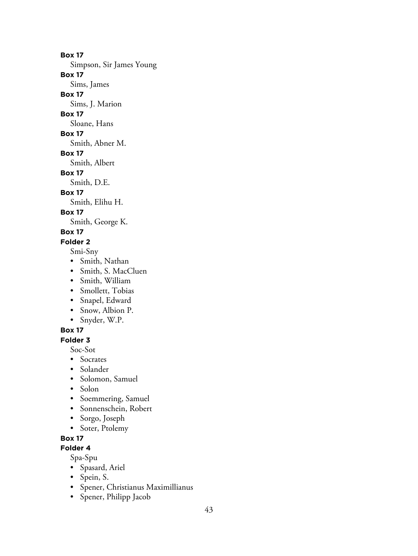Simpson, Sir James Young

## **Box 17**

Sims, James

## **Box 17**

Sims, J. Marion

# **Box 17**

Sloane, Hans

## **Box 17**

Smith, Abner M.

## **Box 17**

Smith, Albert

#### **Box 17**

Smith, D.E.

## **Box 17**

Smith, Elihu H.

#### **Box 17**

Smith, George K.

# **Box 17**

## **Folder 2**

Smi-Sny

- Smith, Nathan
- Smith, S. MacCluen
- Smith, William
- Smollett, Tobias
- Snapel, Edward
- Snow, Albion P.
- Snyder, W.P.

#### **Box 17**

## **Folder 3**

Soc-Sot

- Socrates
- Solander
- Solomon, Samuel
- Solon
- Soemmering, Samuel
- Sonnenschein, Robert
- Sorgo, Joseph
- Soter, Ptolemy

#### **Box 17**

**Folder 4**

Spa-Spu

- Spasard, Ariel
- Spein, S.
- Spener, Christianus Maximillianus
- Spener, Philipp Jacob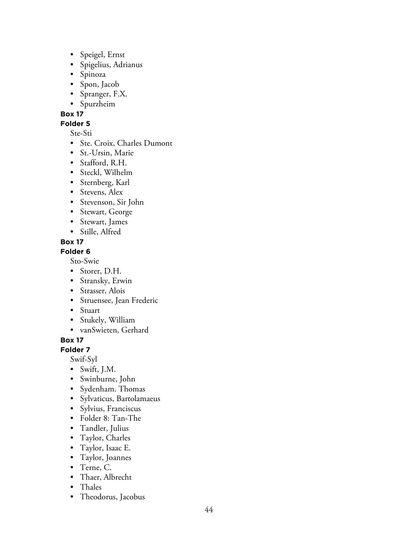- Speigel, Ernst
- Spigelius, Adrianus
- Spinoza
- Spon, Jacob
- Spranger, F.X.
- Spurzheim

#### **Folder 5**

Ste-Sti

- Ste. Croix, Charles Dumont
- St.-Ursin, Marie
- Stafford, R.H.
- Steckl, Wilhelm
- Sternberg, Karl
- Stevens, Alex
- Stevenson, Sir John
- Stewart, George
- Stewart, James
- Stille, Alfred

## **Box 17**

#### **Folder 6**

Sto-Swie

- Storer, D.H.
- Stransky, Erwin
- Strasser, Alois
- Struensee, Jean Frederic
- Stuart
- Stukely, William
- vanSwieten, Gerhard

**Box 17**

**Folder 7**

Swif-Syl

- Swift, J.M.
- Swinburne, John
- Sydenham. Thomas
- Sylvaticus, Bartolamaeus
- Sylvius, Franciscus
- Folder 8: Tan-The
- Tandler, Julius
- Taylor, Charles
- Taylor, Isaac E.
- Taylor, Joannes
- Terne, C.
- Thaer, Albrecht
- Thales
- Theodorus, Jacobus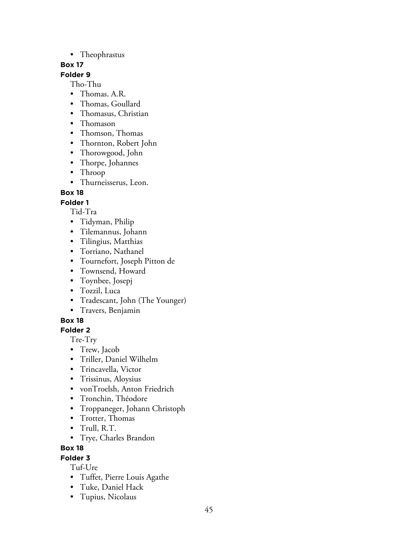#### • Theophrastus

#### **Box 17**

### **Folder 9**

Tho-Thu

- Thomas. A.R.
- Thomas, Goullard
- Thomasus, Christian
- Thomason
- Thomson, Thomas
- Thornton, Robert John
- Thorowgood, John
- Thorpe, Johannes
- Throop
- Thurneisserus, Leon.

# **Box 18**

# **Folder 1**

Tid-Tra

- Tidyman, Philip
- Tilemannus, Johann
- Tilingius, Matthias
- Torriano, Nathanel
- Tournefort, Joseph Pitton de
- Townsend, Howard
- Toynbee, Josepj
- Tozzil, Luca
- Tradescant, John (The Younger)
- Travers, Benjamin

# **Box 18**

# **Folder 2**

Tre-Try

- Trew, Jacob
- Triller, Daniel Wilhelm
- Trincavella, Victor
- Trissinus, Aloysius
- vonTroelsh, Anton Friedrich
- Tronchin, Théodore
- Troppaneger, Johann Christoph
- Trotter, Thomas
- Trull, R.T.
- Trye, Charles Brandon

# **Box 18**

# **Folder 3**

Tuf-Ure

- Tuffet, Pierre Louis Agathe
- Tuke, Daniel Hack
- Tupius, Nicolaus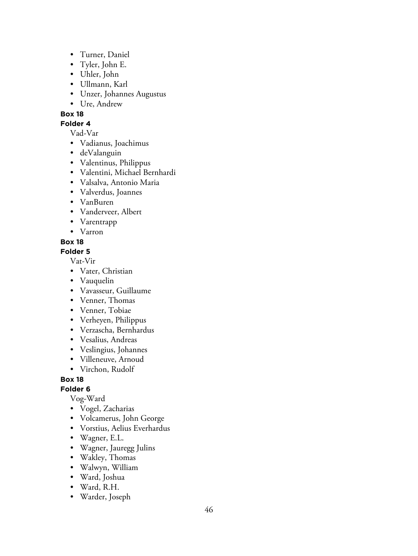- Turner, Daniel
- Tyler, John E.
- Uhler, John
- Ullmann, Karl
- Unzer, Johannes Augustus
- Ure, Andrew

#### **Folder 4**

Vad-Var

- Vadianus, Joachimus
- deValanguin
- Valentinus, Philippus
- Valentini, Michael Bernhardi
- Valsalva, Antonio Maria
- Valverdus, Joannes
- VanBuren
- Vanderveer, Albert
- Varentrapp
- Varron

## **Box 18**

## **Folder 5**

Vat-Vir

- Vater, Christian
- Vauquelin
- Vavasseur, Guillaume
- Venner, Thomas
- Venner, Tobiae
- Verheyen, Philippus
- Verzascha, Bernhardus
- Vesalius, Andreas
- Veslingius, Johannes
- Villeneuve, Arnoud
- Virchon, Rudolf

#### **Box 18**

#### **Folder 6**

Vog-Ward

- Vogel, Zacharias
- Volcamerus, John George
- Vorstius, Aelius Everhardus
- Wagner, E.L.
- Wagner, Jauregg Julins
- Wakley, Thomas
- Walwyn, William
- Ward, Joshua
- Ward, R.H.
- Warder, Joseph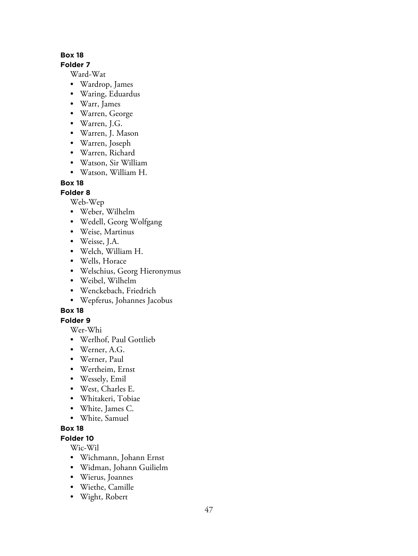## **Folder 7**

Ward-Wat

- Wardrop, James
- Waring, Eduardus
- Warr, James
- Warren, George
- Warren, J.G.
- Warren, J. Mason
- Warren, Joseph
- Warren, Richard
- Watson, Sir William
- Watson, William H.

## **Box 18**

## **Folder 8**

Web-Wep

- Weber, Wilhelm
- Wedell, Georg Wolfgang
- Weise, Martinus
- Weisse, J.A.
- Welch, William H.
- Wells, Horace
- Welschius, Georg Hieronymus
- Weibel, Wilhelm
- Wenckebach, Friedrich
- Wepferus, Johannes Jacobus

# **Box 18**

# **Folder 9**

Wer-Whi

- Werlhof, Paul Gottlieb
- Werner, A.G.
- Werner, Paul
- Wertheim, Ernst
- Wessely, Emil
- West, Charles E.
- Whitakeri, Tobiae
- White, James C.
- White, Samuel

# **Box 18**

**Folder 10**

Wic-Wil

- Wichmann, Johann Ernst
- Widman, Johann Guilielm
- Wierus, Joannes
- Wiethe, Camille
- Wight, Robert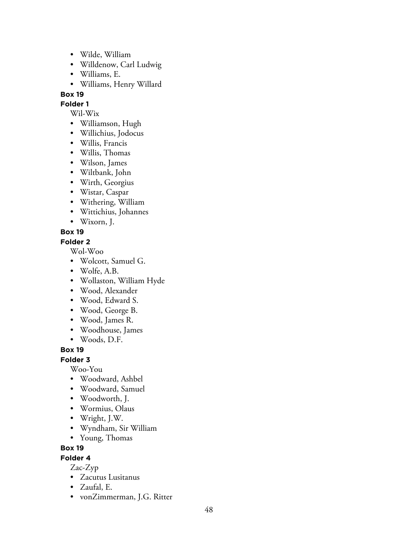- Wilde, William
- Willdenow, Carl Ludwig
- Williams, E.
- Williams, Henry Willard

#### **Folder 1**

Wil-Wix

- Williamson, Hugh
- Willichius, Jodocus
- Willis, Francis
- Willis, Thomas
- Wilson, James
- Wiltbank, John
- Wirth, Georgius
- Wistar, Caspar
- Withering, William
- Wittichius, Johannes
- Wixorn, J.

## **Box 19**

#### **Folder 2**

Wol-Woo

- Wolcott, Samuel G.
- Wolfe, A.B.
- Wollaston, William Hyde
- Wood, Alexander
- Wood, Edward S.
- Wood, George B.
- Wood, James R.
- Woodhouse, James
- Woods, D.F.

**Box 19**

#### **Folder 3**

Woo-You

- Woodward, Ashbel
- Woodward, Samuel
- Woodworth, J.
- Wormius, Olaus
- Wright, J.W.
- Wyndham, Sir William
- Young, Thomas

# **Box 19**

#### **Folder 4**

Zac-Zyp

- Zacutus Lusitanus
- Zaufal, E.
- vonZimmerman, J.G. Ritter